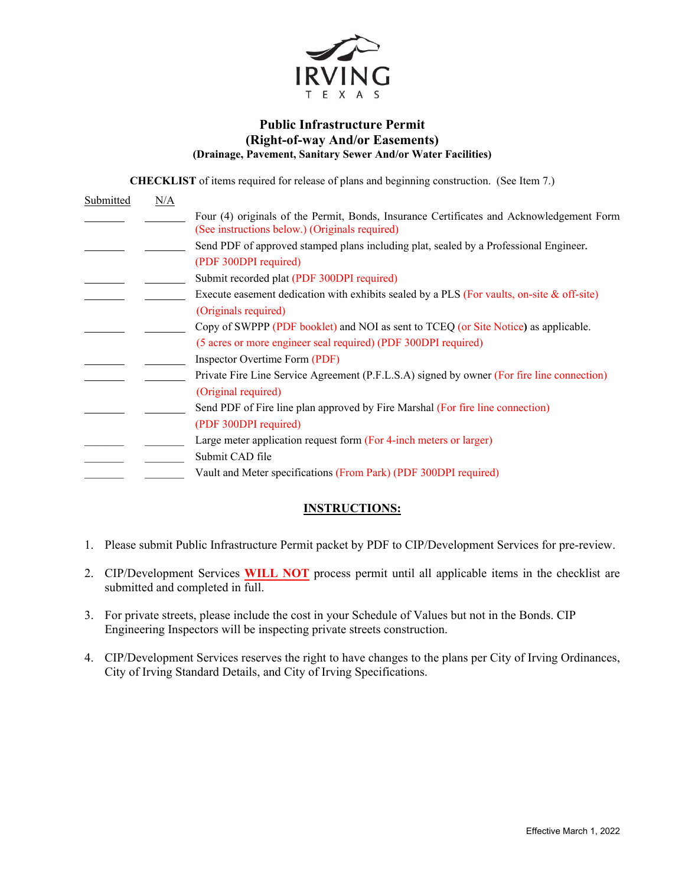

### **Public Infrastructure Permit (Right-of-way And/or Easements) (Drainage, Pavement, Sanitary Sewer And/or Water Facilities)**

**CHECKLIST** of items required for release of plans and beginning construction. (See Item 7.)

| Submitted | N/A |                                                                                                                                            |
|-----------|-----|--------------------------------------------------------------------------------------------------------------------------------------------|
|           |     | Four (4) originals of the Permit, Bonds, Insurance Certificates and Acknowledgement Form<br>(See instructions below.) (Originals required) |
|           |     | Send PDF of approved stamped plans including plat, sealed by a Professional Engineer.                                                      |
|           |     | (PDF 300DPI required)                                                                                                                      |
|           |     | Submit recorded plat (PDF 300DPI required)                                                                                                 |
|           |     | Execute easement dedication with exhibits sealed by a PLS (For vaults, on-site $\&$ off-site)                                              |
|           |     | (Originals required)                                                                                                                       |
|           |     | Copy of SWPPP (PDF booklet) and NOI as sent to TCEQ (or Site Notice) as applicable.                                                        |
|           |     | (5 acres or more engineer seal required) (PDF 300DPI required)                                                                             |
|           |     | Inspector Overtime Form (PDF)                                                                                                              |
|           |     | Private Fire Line Service Agreement (P.F.L.S.A) signed by owner (For fire line connection)<br>(Original required)                          |
|           |     | Send PDF of Fire line plan approved by Fire Marshal (For fire line connection)                                                             |
|           |     | (PDF 300DPI required)                                                                                                                      |
|           |     | Large meter application request form (For 4-inch meters or larger)                                                                         |
|           |     | Submit CAD file                                                                                                                            |
|           |     | Vault and Meter specifications (From Park) (PDF 300DPI required)                                                                           |

## **INSTRUCTIONS:**

- 1. Please submit Public Infrastructure Permit packet by PDF to CIP/Development Services for pre-review.
- 2. CIP/Development Services **WILL NOT** process permit until all applicable items in the checklist are submitted and completed in full.
- 3. For private streets, please include the cost in your Schedule of Values but not in the Bonds. CIP Engineering Inspectors will be inspecting private streets construction.
- 4. CIP/Development Services reserves the right to have changes to the plans per City of Irving Ordinances, City of Irving Standard Details, and City of Irving Specifications.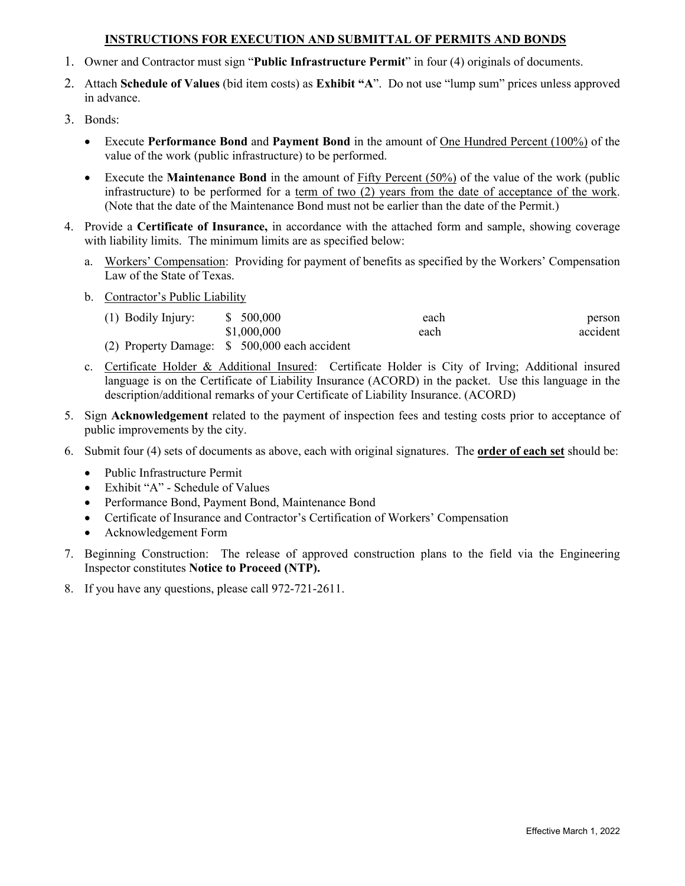## **INSTRUCTIONS FOR EXECUTION AND SUBMITTAL OF PERMITS AND BONDS**

- 1. Owner and Contractor must sign "**Public Infrastructure Permit**" in four (4) originals of documents.
- 2. Attach **Schedule of Values** (bid item costs) as **Exhibit "A**". Do not use "lump sum" prices unless approved in advance.
- 3. Bonds:
	- Execute **Performance Bond** and **Payment Bond** in the amount of One Hundred Percent (100%) of the value of the work (public infrastructure) to be performed.
	- Execute the **Maintenance Bond** in the amount of Fifty Percent (50%) of the value of the work (public infrastructure) to be performed for a term of two (2) years from the date of acceptance of the work. (Note that the date of the Maintenance Bond must not be earlier than the date of the Permit.)
- 4. Provide a **Certificate of Insurance,** in accordance with the attached form and sample, showing coverage with liability limits. The minimum limits are as specified below:
	- a. Workers' Compensation: Providing for payment of benefits as specified by the Workers' Compensation Law of the State of Texas.
	- b. Contractor's Public Liability

| (1) Bodily Injury: | \$ 500,000                                    | each | person   |
|--------------------|-----------------------------------------------|------|----------|
|                    | \$1,000,000                                   | each | accident |
|                    | (2) Property Damage: \$ 500,000 each accident |      |          |

- c. Certificate Holder & Additional Insured: Certificate Holder is City of Irving; Additional insured language is on the Certificate of Liability Insurance (ACORD) in the packet. Use this language in the description/additional remarks of your Certificate of Liability Insurance. (ACORD)
- 5. Sign **Acknowledgement** related to the payment of inspection fees and testing costs prior to acceptance of public improvements by the city.
- 6. Submit four (4) sets of documents as above, each with original signatures. The **order of each set** should be:
	- Public Infrastructure Permit
	- Exhibit "A" Schedule of Values
	- Performance Bond, Payment Bond, Maintenance Bond
	- Certificate of Insurance and Contractor's Certification of Workers' Compensation
	- Acknowledgement Form
- 7. Beginning Construction: The release of approved construction plans to the field via the Engineering Inspector constitutes **Notice to Proceed (NTP).**
- 8. If you have any questions, please call 972-721-2611.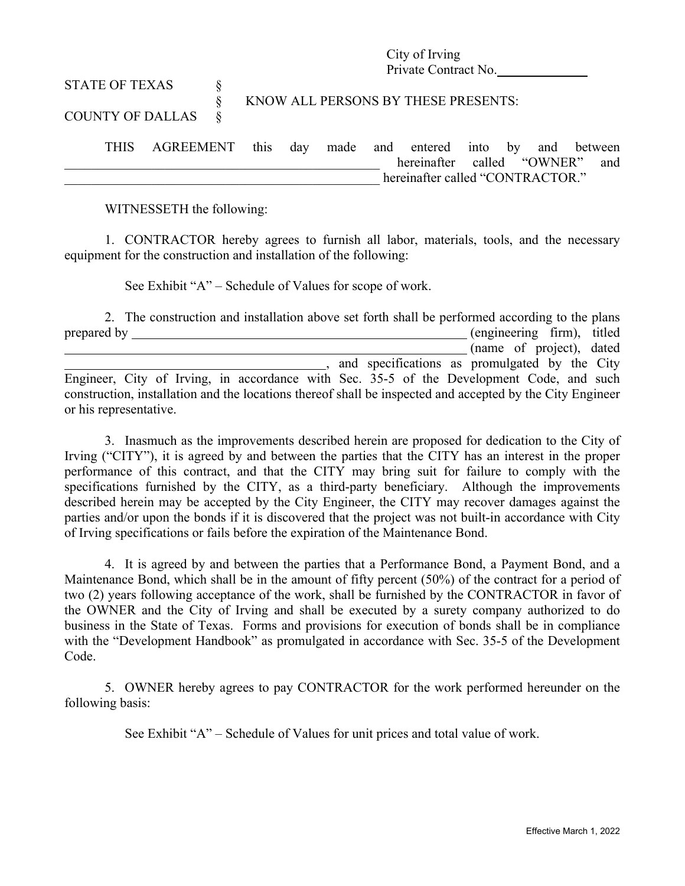City of Irving Private Contract No.

# STATE OF TEXAS  $\S$ § KNOW ALL PERSONS BY THESE PRESENTS: COUNTY OF DALLAS §

THIS AGREEMENT this day made and entered into by and between \_\_\_\_\_\_\_\_\_\_\_\_\_\_\_\_\_\_\_\_\_\_\_\_\_\_\_\_\_\_\_\_\_\_\_\_\_\_\_\_\_\_\_\_\_\_\_ hereinafter called "OWNER" and hereinafter called "CONTRACTOR."

WITNESSETH the following:

1. CONTRACTOR hereby agrees to furnish all labor, materials, tools, and the necessary equipment for the construction and installation of the following:

See Exhibit "A" – Schedule of Values for scope of work.

2. The construction and installation above set forth shall be performed according to the plans prepared by  $($ engineering firm), titled (name of project), dated , and specifications as promulgated by the City Engineer, City of Irving, in accordance with Sec. 35-5 of the Development Code, and such construction, installation and the locations thereof shall be inspected and accepted by the City Engineer or his representative.

3. Inasmuch as the improvements described herein are proposed for dedication to the City of Irving ("CITY"), it is agreed by and between the parties that the CITY has an interest in the proper performance of this contract, and that the CITY may bring suit for failure to comply with the specifications furnished by the CITY, as a third-party beneficiary. Although the improvements described herein may be accepted by the City Engineer, the CITY may recover damages against the parties and/or upon the bonds if it is discovered that the project was not built-in accordance with City of Irving specifications or fails before the expiration of the Maintenance Bond.

4. It is agreed by and between the parties that a Performance Bond, a Payment Bond, and a Maintenance Bond, which shall be in the amount of fifty percent (50%) of the contract for a period of two (2) years following acceptance of the work, shall be furnished by the CONTRACTOR in favor of the OWNER and the City of Irving and shall be executed by a surety company authorized to do business in the State of Texas. Forms and provisions for execution of bonds shall be in compliance with the "Development Handbook" as promulgated in accordance with Sec. 35-5 of the Development Code.

5. OWNER hereby agrees to pay CONTRACTOR for the work performed hereunder on the following basis:

See Exhibit "A" – Schedule of Values for unit prices and total value of work.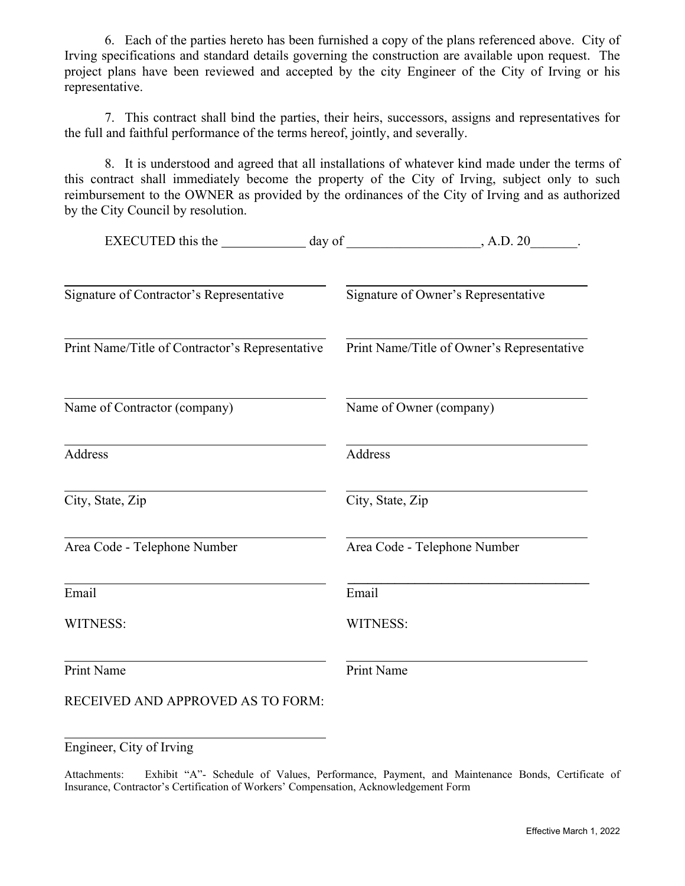6. Each of the parties hereto has been furnished a copy of the plans referenced above. City of Irving specifications and standard details governing the construction are available upon request. The project plans have been reviewed and accepted by the city Engineer of the City of Irving or his representative.

7. This contract shall bind the parties, their heirs, successors, assigns and representatives for the full and faithful performance of the terms hereof, jointly, and severally.

8. It is understood and agreed that all installations of whatever kind made under the terms of this contract shall immediately become the property of the City of Irving, subject only to such reimbursement to the OWNER as provided by the ordinances of the City of Irving and as authorized by the City Council by resolution.

|                                                 | , A.D. 20                                  |
|-------------------------------------------------|--------------------------------------------|
|                                                 |                                            |
| Signature of Contractor's Representative        | Signature of Owner's Representative        |
| Print Name/Title of Contractor's Representative | Print Name/Title of Owner's Representative |
| Name of Contractor (company)                    | Name of Owner (company)                    |
| Address                                         | <b>Address</b>                             |
| City, State, Zip                                | City, State, Zip                           |
| Area Code - Telephone Number                    | Area Code - Telephone Number               |
| Email                                           | Email                                      |
| WITNESS:                                        | WITNESS:                                   |
| Print Name                                      | <b>Print Name</b>                          |
| RECEIVED AND APPROVED AS TO FORM:               |                                            |

Engineer, City of Irving

Attachments: Exhibit "A"- Schedule of Values, Performance, Payment, and Maintenance Bonds, Certificate of Insurance, Contractor's Certification of Workers' Compensation, Acknowledgement Form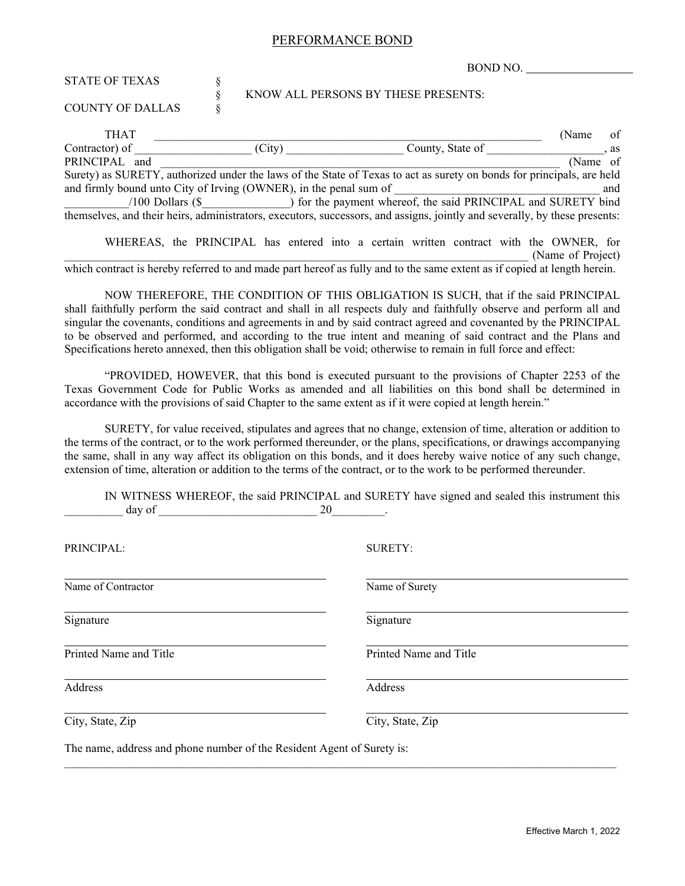#### PERFORMANCE BOND

BOND NO.

| <b>STATE OF TEXAS</b>                                                                                                      | ş      |                                     |                  |                                                                                                             |
|----------------------------------------------------------------------------------------------------------------------------|--------|-------------------------------------|------------------|-------------------------------------------------------------------------------------------------------------|
| <b>COUNTY OF DALLAS</b>                                                                                                    |        | KNOW ALL PERSONS BY THESE PRESENTS: |                  |                                                                                                             |
| <b>THAT</b>                                                                                                                |        |                                     |                  | (Name)<br>οt                                                                                                |
| Contractor) of                                                                                                             | (City) |                                     | County, State of | as                                                                                                          |
| PRINCIPAL<br>and                                                                                                           |        |                                     |                  | (Name of                                                                                                    |
| Surety) as SURETY, authorized under the laws of the State of Texas to act as surety on bonds for principals, are held      |        |                                     |                  |                                                                                                             |
| and firmly bound unto City of Irving (OWNER), in the penal sum of                                                          |        |                                     |                  | and                                                                                                         |
| $/100$ Dollars $(S$                                                                                                        |        |                                     |                  | ) for the payment whereof, the said PRINCIPAL and SURETY bind                                               |
| themselves, and their heirs, administrators, executors, successors, and assigns, jointly and severally, by these presents: |        |                                     |                  |                                                                                                             |
|                                                                                                                            |        |                                     |                  | WHEREAS, the PRINCIPAL has entered into a certain written contract with the OWNER, for<br>(Name of Project) |

which contract is hereby referred to and made part hereof as fully and to the same extent as if copied at length herein.

NOW THEREFORE, THE CONDITION OF THIS OBLIGATION IS SUCH, that if the said PRINCIPAL shall faithfully perform the said contract and shall in all respects duly and faithfully observe and perform all and singular the covenants, conditions and agreements in and by said contract agreed and covenanted by the PRINCIPAL to be observed and performed, and according to the true intent and meaning of said contract and the Plans and Specifications hereto annexed, then this obligation shall be void; otherwise to remain in full force and effect:

"PROVIDED, HOWEVER, that this bond is executed pursuant to the provisions of Chapter 2253 of the Texas Government Code for Public Works as amended and all liabilities on this bond shall be determined in accordance with the provisions of said Chapter to the same extent as if it were copied at length herein."

SURETY, for value received, stipulates and agrees that no change, extension of time, alteration or addition to the terms of the contract, or to the work performed thereunder, or the plans, specifications, or drawings accompanying the same, shall in any way affect its obligation on this bonds, and it does hereby waive notice of any such change, extension of time, alteration or addition to the terms of the contract, or to the work to be performed thereunder.

IN WITNESS WHEREOF, the said PRINCIPAL and SURETY have signed and sealed this instrument this  $\frac{day}{x}$  of  $\frac{20}{x}$ .

The name, address and phone number of the Resident Agent of Surety is: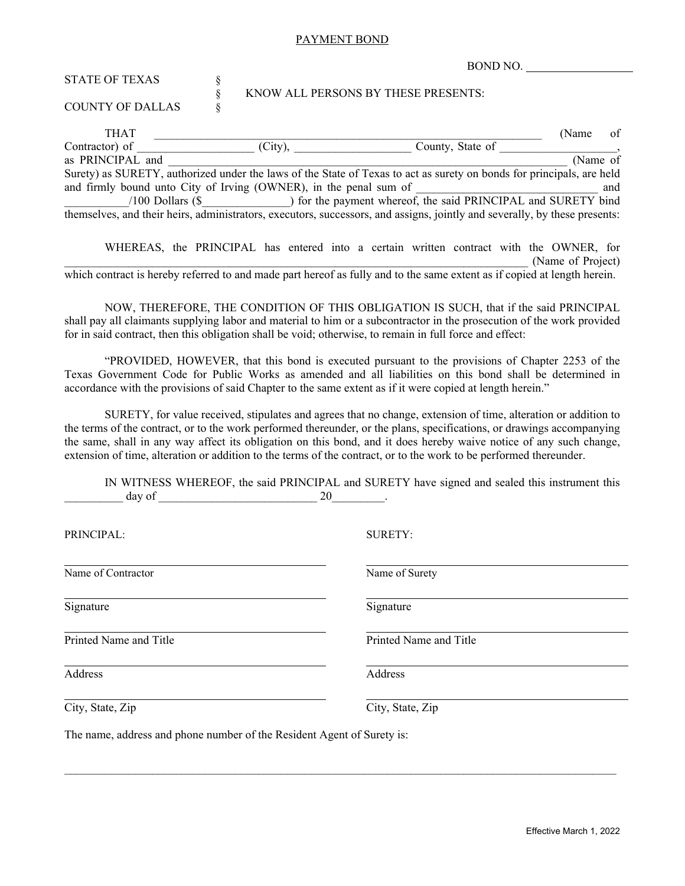#### PAYMENT BOND

**BOMD NO.** 

|                                                                                                                            |  |            | DUND NU.                                                                                                              |          |     |  |  |
|----------------------------------------------------------------------------------------------------------------------------|--|------------|-----------------------------------------------------------------------------------------------------------------------|----------|-----|--|--|
| <b>STATE OF TEXAS</b>                                                                                                      |  |            |                                                                                                                       |          |     |  |  |
| <b>COUNTY OF DALLAS</b>                                                                                                    |  |            | KNOW ALL PERSONS BY THESE PRESENTS:                                                                                   |          |     |  |  |
| <b>THAT</b>                                                                                                                |  |            |                                                                                                                       | (Name)   | οt  |  |  |
| Contractor) of                                                                                                             |  | $(City)$ , | County, State of                                                                                                      |          |     |  |  |
| as PRINCIPAL and                                                                                                           |  |            |                                                                                                                       | (Name of |     |  |  |
|                                                                                                                            |  |            | Surety) as SURETY, authorized under the laws of the State of Texas to act as surety on bonds for principals, are held |          |     |  |  |
| and firmly bound unto City of Irving (OWNER), in the penal sum of                                                          |  |            |                                                                                                                       |          | and |  |  |
|                                                                                                                            |  |            | /100 Dollars (\$ ) for the payment whereof, the said PRINCIPAL and SURETY bind                                        |          |     |  |  |
| themselves, and their heirs, administrators, executors, successors, and assigns, jointly and severally, by these presents: |  |            |                                                                                                                       |          |     |  |  |

|                                                                                                                          | WHEREAS, the PRINCIPAL has entered into a certain written contract with the OWNER, for |  |  |  |  |                   |  |
|--------------------------------------------------------------------------------------------------------------------------|----------------------------------------------------------------------------------------|--|--|--|--|-------------------|--|
|                                                                                                                          |                                                                                        |  |  |  |  | (Name of Project) |  |
| which contract is hereby referred to and made part hereof as fully and to the same extent as if copied at length herein. |                                                                                        |  |  |  |  |                   |  |

NOW, THEREFORE, THE CONDITION OF THIS OBLIGATION IS SUCH, that if the said PRINCIPAL shall pay all claimants supplying labor and material to him or a subcontractor in the prosecution of the work provided for in said contract, then this obligation shall be void; otherwise, to remain in full force and effect:

"PROVIDED, HOWEVER, that this bond is executed pursuant to the provisions of Chapter 2253 of the Texas Government Code for Public Works as amended and all liabilities on this bond shall be determined in accordance with the provisions of said Chapter to the same extent as if it were copied at length herein."

SURETY, for value received, stipulates and agrees that no change, extension of time, alteration or addition to the terms of the contract, or to the work performed thereunder, or the plans, specifications, or drawings accompanying the same, shall in any way affect its obligation on this bond, and it does hereby waive notice of any such change, extension of time, alteration or addition to the terms of the contract, or to the work to be performed thereunder.

IN WITNESS WHEREOF, the said PRINCIPAL and SURETY have signed and sealed this instrument this  $\frac{day}{x}$  of  $\frac{20}{x}$ .

| PRINCIPAL:             | <b>SURETY:</b>         |  |  |  |  |
|------------------------|------------------------|--|--|--|--|
| Name of Contractor     | Name of Surety         |  |  |  |  |
| Signature              | Signature              |  |  |  |  |
| Printed Name and Title | Printed Name and Title |  |  |  |  |
| Address                | Address                |  |  |  |  |
| City, State, Zip       | City, State, Zip       |  |  |  |  |

The name, address and phone number of the Resident Agent of Surety is: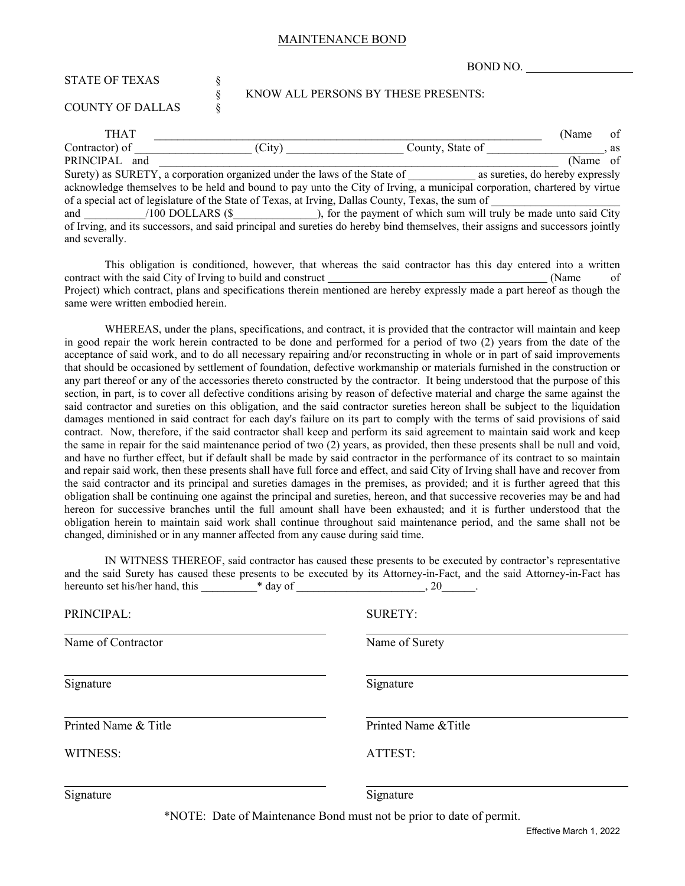#### MAINTENANCE BOND

BOND NO. STATE OF TEXAS  $\S$ § KNOW ALL PERSONS BY THESE PRESENTS: COUNTY OF DALLAS § THAT GERMAN CONSIDER THAT THAT  $\sim$  0.000  $\sim$  0.000  $\sim$  0.000  $\sim$  0.000  $\sim$  0.000  $\sim$  0.000  $\sim$  0.000  $\sim$  0.000  $\sim$  0.000  $\sim$  0.000  $\sim$  0.000  $\sim$  0.000  $\sim$  0.000  $\sim$  0.000  $\sim$  0.000  $\sim$  0.000  $\sim$  0.000  $\sim$ Contractor) of  $\qquad \qquad$  (City)  $\qquad \qquad$  County, State of  $\qquad \qquad$ , as PRINCIPAL and  $\blacksquare$ Surety) as SURETY, a corporation organized under the laws of the State of as sureties, do hereby expressly

acknowledge themselves to be held and bound to pay unto the City of Irving, a municipal corporation, chartered by virtue of a special act of legislature of the State of Texas, at Irving, Dallas County, Texas, the sum of and  $\qquad$  /100 DOLLARS (\$), for the payment of which sum will truly be made unto said City of Irving, and its successors, and said principal and sureties do hereby bind themselves, their assigns and successors jointly and severally.

This obligation is conditioned, however, that whereas the said contractor has this day entered into a written contract with the said City of Irving to build and construct (Name of Project) which contract, plans and specifications therein mentioned are hereby expressly made a part hereof as though the same were written embodied herein.

WHEREAS, under the plans, specifications, and contract, it is provided that the contractor will maintain and keep in good repair the work herein contracted to be done and performed for a period of two (2) years from the date of the acceptance of said work, and to do all necessary repairing and/or reconstructing in whole or in part of said improvements that should be occasioned by settlement of foundation, defective workmanship or materials furnished in the construction or any part thereof or any of the accessories thereto constructed by the contractor. It being understood that the purpose of this section, in part, is to cover all defective conditions arising by reason of defective material and charge the same against the said contractor and sureties on this obligation, and the said contractor sureties hereon shall be subject to the liquidation damages mentioned in said contract for each day's failure on its part to comply with the terms of said provisions of said contract. Now, therefore, if the said contractor shall keep and perform its said agreement to maintain said work and keep the same in repair for the said maintenance period of two (2) years, as provided, then these presents shall be null and void, and have no further effect, but if default shall be made by said contractor in the performance of its contract to so maintain and repair said work, then these presents shall have full force and effect, and said City of Irving shall have and recover from the said contractor and its principal and sureties damages in the premises, as provided; and it is further agreed that this obligation shall be continuing one against the principal and sureties, hereon, and that successive recoveries may be and had hereon for successive branches until the full amount shall have been exhausted; and it is further understood that the obligation herein to maintain said work shall continue throughout said maintenance period, and the same shall not be changed, diminished or in any manner affected from any cause during said time.

|                                 |          | IN WITNESS THEREOF, said contractor has caused these presents to be executed by contractor's representative<br>and the said Surety has caused these presents to be executed by its Attorney-in-Fact, and the said Attorney-in-Fact has |
|---------------------------------|----------|----------------------------------------------------------------------------------------------------------------------------------------------------------------------------------------------------------------------------------------|
| hereunto set his/her hand, this | * day of | $, 20$ .                                                                                                                                                                                                                               |
| PRINCIPAL:                      |          | <b>SURETY:</b>                                                                                                                                                                                                                         |
| Name of Contractor              |          | Name of Surety                                                                                                                                                                                                                         |
| Signature                       |          | Signature                                                                                                                                                                                                                              |
| Printed Name & Title            |          | Printed Name & Title                                                                                                                                                                                                                   |

WITNESS: ATTEST:

Signature Signature Signature Signature Signature Signature Signature Signature Signature Signature Signature Signature Signature Signature Signature Signature Signature Signature Signature Signature Signature Signature Si

\*NOTE: Date of Maintenance Bond must not be prior to date of permit.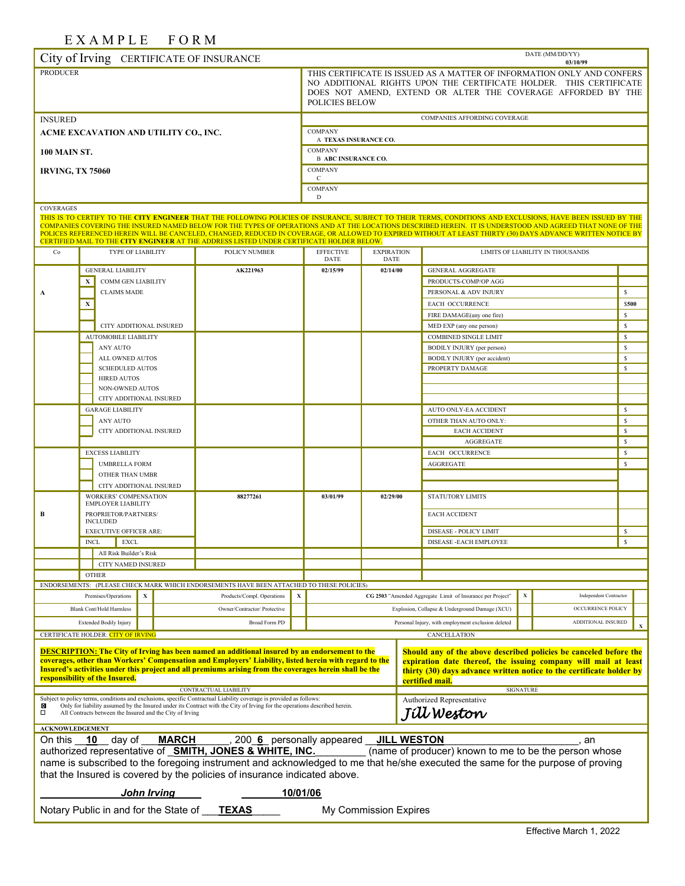# EXAMPLE FORM

|                                       |                                                                                                                                                                                                                                                                               | <u>.</u>                                                  |             |   | 1 V 1 V 1 V 1      |                                                                                                                                                                                                                                       |          |                                                |                                         |                                  |                  |                                                                                                                                                                                                                                                                                                                                                                                                                                                                                           |                  | DATE (MM/DD/YY)                  |                    |  |
|---------------------------------------|-------------------------------------------------------------------------------------------------------------------------------------------------------------------------------------------------------------------------------------------------------------------------------|-----------------------------------------------------------|-------------|---|--------------------|---------------------------------------------------------------------------------------------------------------------------------------------------------------------------------------------------------------------------------------|----------|------------------------------------------------|-----------------------------------------|----------------------------------|------------------|-------------------------------------------------------------------------------------------------------------------------------------------------------------------------------------------------------------------------------------------------------------------------------------------------------------------------------------------------------------------------------------------------------------------------------------------------------------------------------------------|------------------|----------------------------------|--------------------|--|
|                                       |                                                                                                                                                                                                                                                                               |                                                           |             |   |                    | City of Irving CERTIFICATE OF INSURANCE                                                                                                                                                                                               |          |                                                |                                         |                                  |                  |                                                                                                                                                                                                                                                                                                                                                                                                                                                                                           |                  | 03/10/99                         |                    |  |
| <b>PRODUCER</b>                       |                                                                                                                                                                                                                                                                               |                                                           |             |   |                    | THIS CERTIFICATE IS ISSUED AS A MATTER OF INFORMATION ONLY AND CONFERS<br>NO ADDITIONAL RIGHTS UPON THE CERTIFICATE HOLDER. THIS CERTIFICATE<br>DOES NOT AMEND, EXTEND OR ALTER THE COVERAGE AFFORDED BY THE<br><b>POLICIES BELOW</b> |          |                                                |                                         |                                  |                  |                                                                                                                                                                                                                                                                                                                                                                                                                                                                                           |                  |                                  |                    |  |
| <b>INSURED</b>                        |                                                                                                                                                                                                                                                                               |                                                           |             |   |                    |                                                                                                                                                                                                                                       |          |                                                |                                         |                                  |                  | COMPANIES AFFORDING COVERAGE                                                                                                                                                                                                                                                                                                                                                                                                                                                              |                  |                                  |                    |  |
| ACME EXCAVATION AND UTILITY CO., INC. |                                                                                                                                                                                                                                                                               |                                                           |             |   |                    |                                                                                                                                                                                                                                       |          |                                                | <b>COMPANY</b><br>A TEXAS INSURANCE CO. |                                  |                  |                                                                                                                                                                                                                                                                                                                                                                                                                                                                                           |                  |                                  |                    |  |
| <b>100 MAIN ST.</b>                   |                                                                                                                                                                                                                                                                               |                                                           |             |   |                    |                                                                                                                                                                                                                                       |          |                                                | <b>COMPANY</b>                          |                                  |                  |                                                                                                                                                                                                                                                                                                                                                                                                                                                                                           |                  |                                  |                    |  |
|                                       |                                                                                                                                                                                                                                                                               |                                                           |             |   |                    |                                                                                                                                                                                                                                       |          |                                                | <b>B ABC INSURANCE CO.</b>              |                                  |                  |                                                                                                                                                                                                                                                                                                                                                                                                                                                                                           |                  |                                  |                    |  |
| <b>IRVING, TX 75060</b>               |                                                                                                                                                                                                                                                                               |                                                           |             |   |                    |                                                                                                                                                                                                                                       |          |                                                | <b>COMPANY</b><br>C                     |                                  |                  |                                                                                                                                                                                                                                                                                                                                                                                                                                                                                           |                  |                                  |                    |  |
|                                       |                                                                                                                                                                                                                                                                               |                                                           |             |   |                    | <b>COMPANY</b><br>D                                                                                                                                                                                                                   |          |                                                |                                         |                                  |                  |                                                                                                                                                                                                                                                                                                                                                                                                                                                                                           |                  |                                  |                    |  |
| <b>COVERAGES</b>                      |                                                                                                                                                                                                                                                                               |                                                           |             |   |                    |                                                                                                                                                                                                                                       |          |                                                |                                         |                                  |                  |                                                                                                                                                                                                                                                                                                                                                                                                                                                                                           |                  |                                  |                    |  |
|                                       |                                                                                                                                                                                                                                                                               |                                                           |             |   |                    | CERTIFIED MAIL TO THE CITY ENGINEER AT THE ADDRESS LISTED UNDER CERTIFICATE HOLDER BELOW.                                                                                                                                             |          |                                                |                                         |                                  |                  | THIS IS TO CERTIFY TO THE CITY ENGINEER THAT THE FOLLOWING POLICIES OF INSURANCE, SUBJECT TO THEIR TERMS, CONDITIONS AND EXCLUSIONS, HAVE BEEN ISSUED BY THE<br>COMPANIES COVERING THE INSURED NAMED BELOW FOR THE TYPES OF OPERATIONS AND AT THE LOCATIONS DESCRIBED HEREIN. IT IS UNDERSTOOD AND AGREED THAT NONE OF THE<br>POLICES REFERENCED HEREIN WILL BE CANCELED, CHANGED, REDUCED IN COVERAGE, OR ALLOWED TO EXPIRED WITHOUT AT LEAST THIRTY (30) DAYS ADVANCE WRITTEN NOTICE BY |                  |                                  |                    |  |
| Co                                    |                                                                                                                                                                                                                                                                               | TYPE OF LIABILITY                                         |             |   |                    | POLICY NUMBER                                                                                                                                                                                                                         |          |                                                | <b>EFFECTIVE</b><br><b>DATE</b>         | <b>EXPIRATION</b><br><b>DATE</b> |                  |                                                                                                                                                                                                                                                                                                                                                                                                                                                                                           |                  | LIMITS OF LIABILITY IN THOUSANDS |                    |  |
|                                       |                                                                                                                                                                                                                                                                               | <b>GENERAL LIABILITY</b>                                  |             |   |                    | AK221963                                                                                                                                                                                                                              |          |                                                | 02/15/99                                | 02/14/00                         |                  | <b>GENERAL AGGREGATE</b>                                                                                                                                                                                                                                                                                                                                                                                                                                                                  |                  |                                  |                    |  |
|                                       | X                                                                                                                                                                                                                                                                             | <b>COMM GEN LIABILITY</b>                                 |             |   |                    |                                                                                                                                                                                                                                       |          |                                                |                                         |                                  |                  | PRODUCTS-COMP/OP AGG                                                                                                                                                                                                                                                                                                                                                                                                                                                                      |                  |                                  |                    |  |
| A                                     |                                                                                                                                                                                                                                                                               | <b>CLAIMS MADE</b>                                        |             |   |                    |                                                                                                                                                                                                                                       |          |                                                |                                         |                                  |                  | PERSONAL & ADV INJURY                                                                                                                                                                                                                                                                                                                                                                                                                                                                     |                  |                                  | $\mathbb{S}$       |  |
|                                       | X                                                                                                                                                                                                                                                                             |                                                           |             |   |                    |                                                                                                                                                                                                                                       |          |                                                |                                         |                                  |                  | <b>EACH OCCURRENCE</b>                                                                                                                                                                                                                                                                                                                                                                                                                                                                    |                  |                                  | \$500              |  |
|                                       |                                                                                                                                                                                                                                                                               |                                                           |             |   |                    |                                                                                                                                                                                                                                       |          |                                                |                                         |                                  |                  | FIRE DAMAGE(any one fire)                                                                                                                                                                                                                                                                                                                                                                                                                                                                 |                  |                                  | $\mathbb{S}$       |  |
|                                       |                                                                                                                                                                                                                                                                               | CITY ADDITIONAL INSURED<br><b>AUTOMOBILE LIABILITY</b>    |             |   |                    |                                                                                                                                                                                                                                       |          |                                                |                                         |                                  |                  | MED EXP (any one person)<br><b>COMBINED SINGLE LIMIT</b>                                                                                                                                                                                                                                                                                                                                                                                                                                  |                  |                                  | $\mathbb{S}$<br>\$ |  |
|                                       |                                                                                                                                                                                                                                                                               | ANY AUTO                                                  |             |   |                    |                                                                                                                                                                                                                                       |          |                                                |                                         |                                  |                  | <b>BODILY INJURY</b> (per person)                                                                                                                                                                                                                                                                                                                                                                                                                                                         |                  |                                  | $\mathbb{S}$       |  |
|                                       |                                                                                                                                                                                                                                                                               | ALL OWNED AUTOS                                           |             |   |                    |                                                                                                                                                                                                                                       |          |                                                |                                         |                                  |                  | BODILY INJURY (per accident)                                                                                                                                                                                                                                                                                                                                                                                                                                                              |                  |                                  | $\mathbb{S}$       |  |
|                                       |                                                                                                                                                                                                                                                                               | <b>SCHEDULED AUTOS</b>                                    |             |   |                    |                                                                                                                                                                                                                                       |          |                                                |                                         |                                  |                  | PROPERTY DAMAGE                                                                                                                                                                                                                                                                                                                                                                                                                                                                           |                  |                                  | $\mathbb{S}$       |  |
|                                       |                                                                                                                                                                                                                                                                               | <b>HIRED AUTOS</b>                                        |             |   |                    |                                                                                                                                                                                                                                       |          |                                                |                                         |                                  |                  |                                                                                                                                                                                                                                                                                                                                                                                                                                                                                           |                  |                                  |                    |  |
|                                       |                                                                                                                                                                                                                                                                               | NON-OWNED AUTOS                                           |             |   |                    |                                                                                                                                                                                                                                       |          |                                                |                                         |                                  |                  |                                                                                                                                                                                                                                                                                                                                                                                                                                                                                           |                  |                                  |                    |  |
|                                       |                                                                                                                                                                                                                                                                               | CITY ADDITIONAL INSURED                                   |             |   |                    |                                                                                                                                                                                                                                       |          |                                                |                                         |                                  |                  |                                                                                                                                                                                                                                                                                                                                                                                                                                                                                           |                  |                                  |                    |  |
|                                       |                                                                                                                                                                                                                                                                               | <b>GARAGE LIABILITY</b>                                   |             |   |                    |                                                                                                                                                                                                                                       |          |                                                |                                         |                                  |                  | AUTO ONLY-EA ACCIDENT                                                                                                                                                                                                                                                                                                                                                                                                                                                                     |                  |                                  | $\mathbb{S}$       |  |
|                                       |                                                                                                                                                                                                                                                                               | ANY AUTO<br>CITY ADDITIONAL INSURED                       |             |   |                    |                                                                                                                                                                                                                                       |          |                                                |                                         |                                  |                  | OTHER THAN AUTO ONLY:<br><b>EACH ACCIDENT</b>                                                                                                                                                                                                                                                                                                                                                                                                                                             |                  |                                  | \$<br>$\mathbb{S}$ |  |
|                                       |                                                                                                                                                                                                                                                                               |                                                           |             |   |                    |                                                                                                                                                                                                                                       |          |                                                |                                         |                                  |                  | <b>AGGREGATE</b>                                                                                                                                                                                                                                                                                                                                                                                                                                                                          |                  |                                  | $\mathbb{S}$       |  |
|                                       |                                                                                                                                                                                                                                                                               | <b>EXCESS LIABILITY</b>                                   |             |   |                    |                                                                                                                                                                                                                                       |          |                                                |                                         |                                  |                  | EACH OCCURRENCE                                                                                                                                                                                                                                                                                                                                                                                                                                                                           |                  |                                  | \$                 |  |
|                                       |                                                                                                                                                                                                                                                                               | <b>UMBRELLA FORM</b>                                      |             |   |                    |                                                                                                                                                                                                                                       |          |                                                |                                         |                                  | <b>AGGREGATE</b> |                                                                                                                                                                                                                                                                                                                                                                                                                                                                                           |                  | $\mathbb{S}$                     |                    |  |
|                                       |                                                                                                                                                                                                                                                                               | OTHER THAN UMBR                                           |             |   |                    |                                                                                                                                                                                                                                       |          |                                                |                                         |                                  |                  |                                                                                                                                                                                                                                                                                                                                                                                                                                                                                           |                  |                                  |                    |  |
|                                       |                                                                                                                                                                                                                                                                               | CITY ADDITIONAL INSURED                                   |             |   |                    |                                                                                                                                                                                                                                       |          |                                                |                                         |                                  |                  |                                                                                                                                                                                                                                                                                                                                                                                                                                                                                           |                  |                                  |                    |  |
|                                       |                                                                                                                                                                                                                                                                               | <b>WORKERS' COMPENSATION</b><br><b>EMPLOYER LIABILITY</b> |             |   |                    | 88277261                                                                                                                                                                                                                              |          |                                                | 03/01/99                                | 02/29/00                         |                  | <b>STATUTORY LIMITS</b>                                                                                                                                                                                                                                                                                                                                                                                                                                                                   |                  |                                  |                    |  |
| B                                     |                                                                                                                                                                                                                                                                               | PROPRIETOR/PARTNERS/                                      |             |   |                    |                                                                                                                                                                                                                                       |          |                                                |                                         |                                  |                  | <b>EACH ACCIDENT</b>                                                                                                                                                                                                                                                                                                                                                                                                                                                                      |                  |                                  |                    |  |
|                                       |                                                                                                                                                                                                                                                                               | <b>INCLUDED</b>                                           |             |   |                    |                                                                                                                                                                                                                                       |          |                                                |                                         |                                  |                  |                                                                                                                                                                                                                                                                                                                                                                                                                                                                                           |                  |                                  |                    |  |
|                                       |                                                                                                                                                                                                                                                                               | <b>EXECUTIVE OFFICER ARE:</b>                             |             |   |                    |                                                                                                                                                                                                                                       |          |                                                |                                         |                                  |                  | <b>DISEASE - POLICY LIMIT</b>                                                                                                                                                                                                                                                                                                                                                                                                                                                             |                  |                                  | \$                 |  |
|                                       | $\sf INCL$                                                                                                                                                                                                                                                                    |                                                           | <b>EXCL</b> |   |                    |                                                                                                                                                                                                                                       |          |                                                |                                         |                                  |                  | DISEASE - EACH EMPLOYEE                                                                                                                                                                                                                                                                                                                                                                                                                                                                   |                  |                                  | $\mathbf S$        |  |
|                                       |                                                                                                                                                                                                                                                                               | All Risk Builder's Risk                                   |             |   |                    |                                                                                                                                                                                                                                       |          |                                                |                                         |                                  |                  |                                                                                                                                                                                                                                                                                                                                                                                                                                                                                           |                  |                                  |                    |  |
|                                       |                                                                                                                                                                                                                                                                               | CITY NAMED INSURED<br><b>OTHER</b>                        |             |   |                    |                                                                                                                                                                                                                                       |          |                                                |                                         |                                  |                  |                                                                                                                                                                                                                                                                                                                                                                                                                                                                                           |                  |                                  |                    |  |
|                                       |                                                                                                                                                                                                                                                                               |                                                           |             |   |                    | ENDORSEMENTS: (PLEASE CHECK MARK WHICH ENDORSEMENTS HAVE BEEN ATTACHED TO THESE POLICIES)                                                                                                                                             |          |                                                |                                         |                                  |                  |                                                                                                                                                                                                                                                                                                                                                                                                                                                                                           |                  |                                  |                    |  |
|                                       |                                                                                                                                                                                                                                                                               | Premises/Operations                                       |             | x |                    | Products/Compl. Operations                                                                                                                                                                                                            | X        |                                                |                                         |                                  |                  | CG 2503 "Amended Aggregate Limit of Insurance per Project"                                                                                                                                                                                                                                                                                                                                                                                                                                | X                | Independent Contractor           |                    |  |
|                                       |                                                                                                                                                                                                                                                                               | Blank Cont/Hold Harmless                                  |             |   |                    | Owner/Contractor/ Protective                                                                                                                                                                                                          |          | Explosion, Collapse & Underground Damage (XCU) |                                         | OCCURRENCE POLICY                |                  |                                                                                                                                                                                                                                                                                                                                                                                                                                                                                           |                  |                                  |                    |  |
|                                       |                                                                                                                                                                                                                                                                               | <b>Extended Bodily Injury</b>                             |             |   |                    | Broad Form PD                                                                                                                                                                                                                         |          |                                                |                                         |                                  |                  | Personal Injury, with employment exclusion deleted                                                                                                                                                                                                                                                                                                                                                                                                                                        |                  | ADDITIONAL INSURED               |                    |  |
| CERTIFICATE HOLDER: CITY OF IRVING    |                                                                                                                                                                                                                                                                               |                                                           |             |   |                    |                                                                                                                                                                                                                                       |          |                                                |                                         |                                  |                  | CANCELLATION                                                                                                                                                                                                                                                                                                                                                                                                                                                                              |                  |                                  |                    |  |
|                                       |                                                                                                                                                                                                                                                                               |                                                           |             |   |                    |                                                                                                                                                                                                                                       |          |                                                |                                         |                                  |                  |                                                                                                                                                                                                                                                                                                                                                                                                                                                                                           |                  |                                  |                    |  |
|                                       |                                                                                                                                                                                                                                                                               |                                                           |             |   |                    | <b>DESCRIPTION:</b> The City of Irving has been named an additional insured by an endorsement to the<br>coverages, other than Workers' Compensation and Employers' Liability, listed herein with regard to the                        |          |                                                |                                         |                                  |                  | Should any of the above described policies be canceled before the                                                                                                                                                                                                                                                                                                                                                                                                                         |                  |                                  |                    |  |
|                                       |                                                                                                                                                                                                                                                                               |                                                           |             |   |                    | Insured's activities under this project and all premiums arising from the coverages herein shall be the                                                                                                                               |          |                                                |                                         |                                  |                  | expiration date thereof, the issuing company will mail at least<br>thirty (30) days advance written notice to the certificate holder by                                                                                                                                                                                                                                                                                                                                                   |                  |                                  |                    |  |
|                                       | responsibility of the Insured.<br>certified mail.                                                                                                                                                                                                                             |                                                           |             |   |                    |                                                                                                                                                                                                                                       |          |                                                |                                         |                                  |                  |                                                                                                                                                                                                                                                                                                                                                                                                                                                                                           |                  |                                  |                    |  |
|                                       |                                                                                                                                                                                                                                                                               |                                                           |             |   |                    | CONTRACTUAL LIABILITY                                                                                                                                                                                                                 |          |                                                |                                         |                                  |                  |                                                                                                                                                                                                                                                                                                                                                                                                                                                                                           | <b>SIGNATURE</b> |                                  |                    |  |
| ⊠                                     | Subject to policy terms, conditions and exclusions, specific Contractual Liability coverage is provided as follows:<br>Authorized Representative<br>Only for liability assumed by the Insured under its Contract with the City of Irving for the operations described herein. |                                                           |             |   |                    |                                                                                                                                                                                                                                       |          |                                                |                                         |                                  |                  |                                                                                                                                                                                                                                                                                                                                                                                                                                                                                           |                  |                                  |                    |  |
| □                                     | Jíll Weston<br>All Contracts between the Insured and the City of Irving                                                                                                                                                                                                       |                                                           |             |   |                    |                                                                                                                                                                                                                                       |          |                                                |                                         |                                  |                  |                                                                                                                                                                                                                                                                                                                                                                                                                                                                                           |                  |                                  |                    |  |
| <b>ACKNOWLEDGEMENT</b>                |                                                                                                                                                                                                                                                                               |                                                           |             |   |                    |                                                                                                                                                                                                                                       |          |                                                |                                         |                                  |                  |                                                                                                                                                                                                                                                                                                                                                                                                                                                                                           |                  |                                  |                    |  |
| On this 10 day of                     |                                                                                                                                                                                                                                                                               |                                                           |             |   | <b>MARCH</b>       | _, 200_6_ personally appeared __ <u>JILL WESTON</u>                                                                                                                                                                                   |          |                                                |                                         |                                  |                  |                                                                                                                                                                                                                                                                                                                                                                                                                                                                                           |                  | an                               |                    |  |
|                                       |                                                                                                                                                                                                                                                                               |                                                           |             |   |                    | authorized representative of SMITH, JONES & WHITE, INC.                                                                                                                                                                               |          |                                                |                                         |                                  |                  | (name of producer) known to me to be the person whose                                                                                                                                                                                                                                                                                                                                                                                                                                     |                  |                                  |                    |  |
|                                       |                                                                                                                                                                                                                                                                               |                                                           |             |   |                    |                                                                                                                                                                                                                                       |          |                                                |                                         |                                  |                  | name is subscribed to the foregoing instrument and acknowledged to me that he/she executed the same for the purpose of proving                                                                                                                                                                                                                                                                                                                                                            |                  |                                  |                    |  |
|                                       |                                                                                                                                                                                                                                                                               |                                                           |             |   |                    | that the Insured is covered by the policies of insurance indicated above.                                                                                                                                                             |          |                                                |                                         |                                  |                  |                                                                                                                                                                                                                                                                                                                                                                                                                                                                                           |                  |                                  |                    |  |
|                                       |                                                                                                                                                                                                                                                                               |                                                           |             |   | <b>John Irving</b> |                                                                                                                                                                                                                                       | 10/01/06 |                                                |                                         |                                  |                  |                                                                                                                                                                                                                                                                                                                                                                                                                                                                                           |                  |                                  |                    |  |
|                                       |                                                                                                                                                                                                                                                                               |                                                           |             |   |                    |                                                                                                                                                                                                                                       |          |                                                |                                         |                                  |                  |                                                                                                                                                                                                                                                                                                                                                                                                                                                                                           |                  |                                  |                    |  |
| Notary Public in and for the State of |                                                                                                                                                                                                                                                                               |                                                           |             |   |                    | <b>TEXAS</b>                                                                                                                                                                                                                          |          |                                                | My Commission Expires                   |                                  |                  |                                                                                                                                                                                                                                                                                                                                                                                                                                                                                           |                  |                                  |                    |  |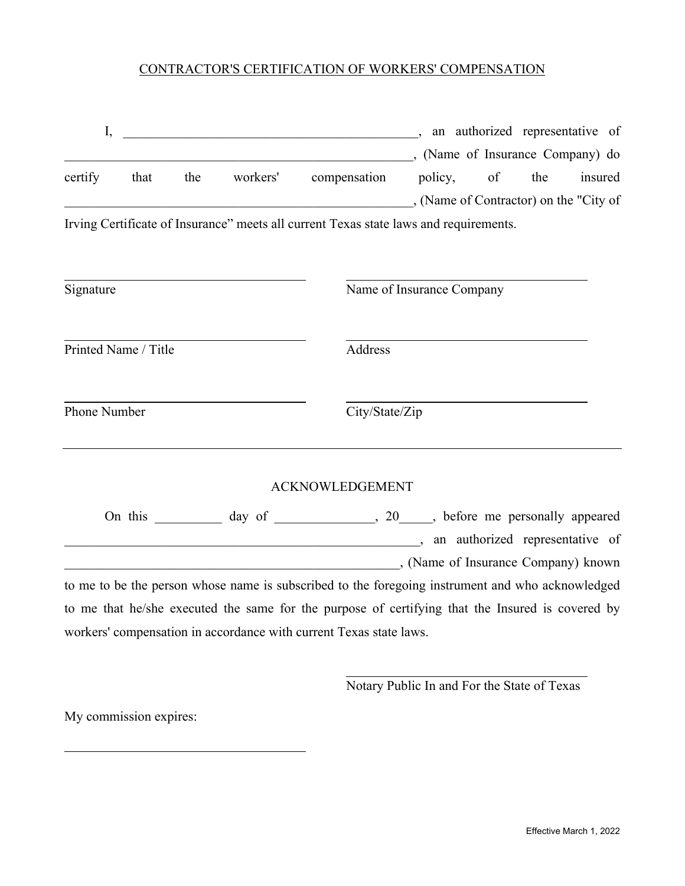# CONTRACTOR'S CERTIFICATION OF WORKERS' COMPENSATION

| I,           |                      |     | $\overline{\phantom{a}}$                                                                         |                                |     | an authorized representative of |
|--------------|----------------------|-----|--------------------------------------------------------------------------------------------------|--------------------------------|-----|---------------------------------|
|              |                      |     |                                                                                                  | (Name of Insurance Company) do |     |                                 |
| certify      | that                 | the | workers' compensation policy, of                                                                 |                                | the | insured                         |
|              |                      |     | (Name of Contractor) on the "City of                                                             |                                |     |                                 |
|              |                      |     | Irving Certificate of Insurance" meets all current Texas state laws and requirements.            |                                |     |                                 |
|              |                      |     |                                                                                                  |                                |     |                                 |
| Signature    |                      |     |                                                                                                  | Name of Insurance Company      |     |                                 |
|              |                      |     |                                                                                                  |                                |     |                                 |
|              |                      |     |                                                                                                  |                                |     |                                 |
|              | Printed Name / Title |     | Address                                                                                          |                                |     |                                 |
|              |                      |     |                                                                                                  |                                |     |                                 |
| Phone Number |                      |     | City/State/Zip                                                                                   |                                |     |                                 |
|              |                      |     |                                                                                                  |                                |     |                                 |
|              |                      |     |                                                                                                  |                                |     |                                 |
|              |                      |     | <b>ACKNOWLEDGEMENT</b>                                                                           |                                |     |                                 |
|              |                      |     | On this ___________ day of _____________, 20_____, before me personally appeared                 |                                |     |                                 |
|              |                      |     | an authorized representative of                                                                  |                                |     |                                 |
|              |                      |     | (Name of Insurance Company) known                                                                |                                |     |                                 |
|              |                      |     | to me to be the person whose name is subscribed to the foregoing instrument and who acknowledged |                                |     |                                 |
|              |                      |     | to me that he/she executed the same for the purpose of certifying that the Insured is covered by |                                |     |                                 |
|              |                      |     | workers' compensation in accordance with current Texas state laws.                               |                                |     |                                 |
|              |                      |     |                                                                                                  |                                |     |                                 |

Notary Public In and For the State of Texas

My commission expires: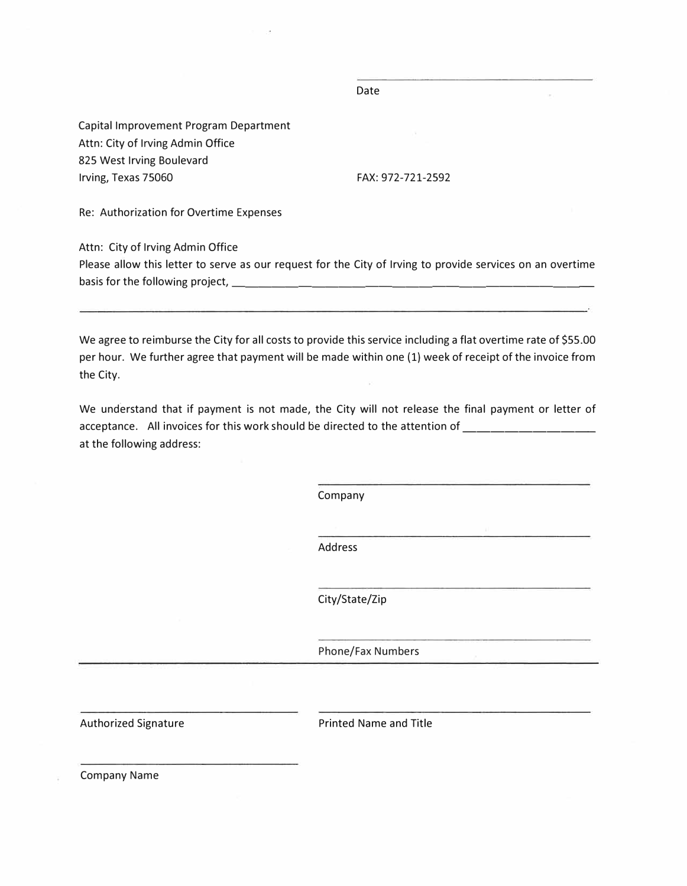Capital Improvement Program Department Attn: City of Irving Admin Office 825 West Irving Boulevard Irving, Texas 75060

FAX: 972-721-2592

Date

Re: Authorization for Overtime Expenses

Attn: City of Irving Admin Office

Please allow this letter to serve as our request for the City of Irving to provide services on an overtime basis for the following project, \_\_\_\_\_\_\_\_\_\_\_\_\_\_\_\_

We agree to reimburse the City for all costs to provide this service including a flat overtime rate of \$55.00 per hour. We further agree that payment will be made within one (1) week of receipt of the invoice from the City.

We understand that if payment is not made, the City will not release the final payment or letter of acceptance. All invoices for this work should be directed to the attention of \_\_\_\_\_\_\_\_\_\_\_\_\_\_ at the following address:

Company

Address

City/State/Zip

Phone/Fax Numbers

Authorized Signature **Printed Name and Title** 

Company Name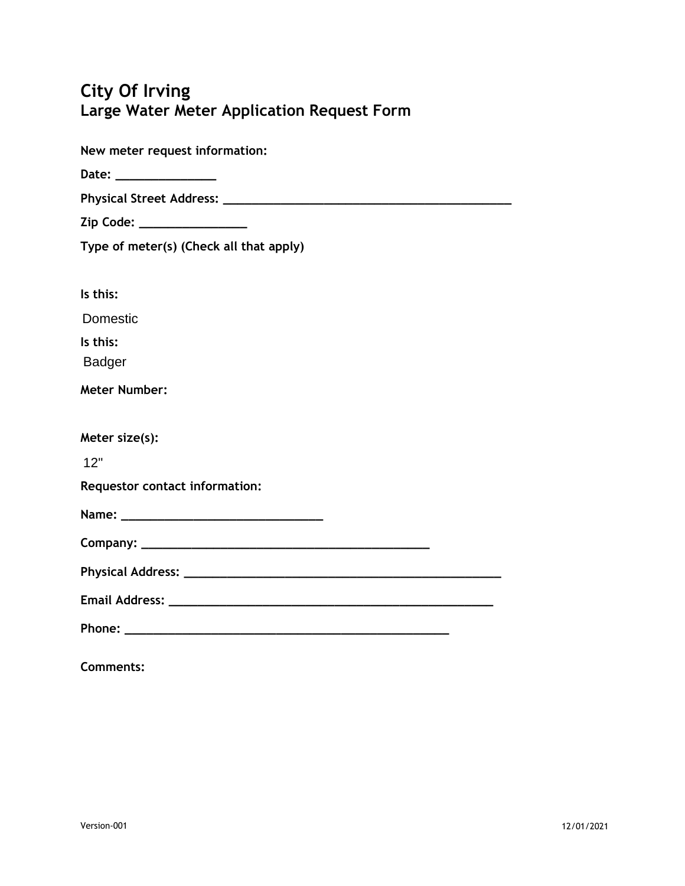# **City Of Irving Large Water Meter Application Request Form**

| New meter request information:          |
|-----------------------------------------|
|                                         |
|                                         |
| Zip Code: _________________             |
| Type of meter(s) (Check all that apply) |
|                                         |
| Is this:                                |
| Domestic                                |
| Is this:                                |
| <b>Badger</b>                           |
| <b>Meter Number:</b>                    |
|                                         |
| Meter size(s):                          |
| 12"                                     |
| Requestor contact information:          |
|                                         |
|                                         |
|                                         |
|                                         |
|                                         |
| <b>Comments:</b>                        |